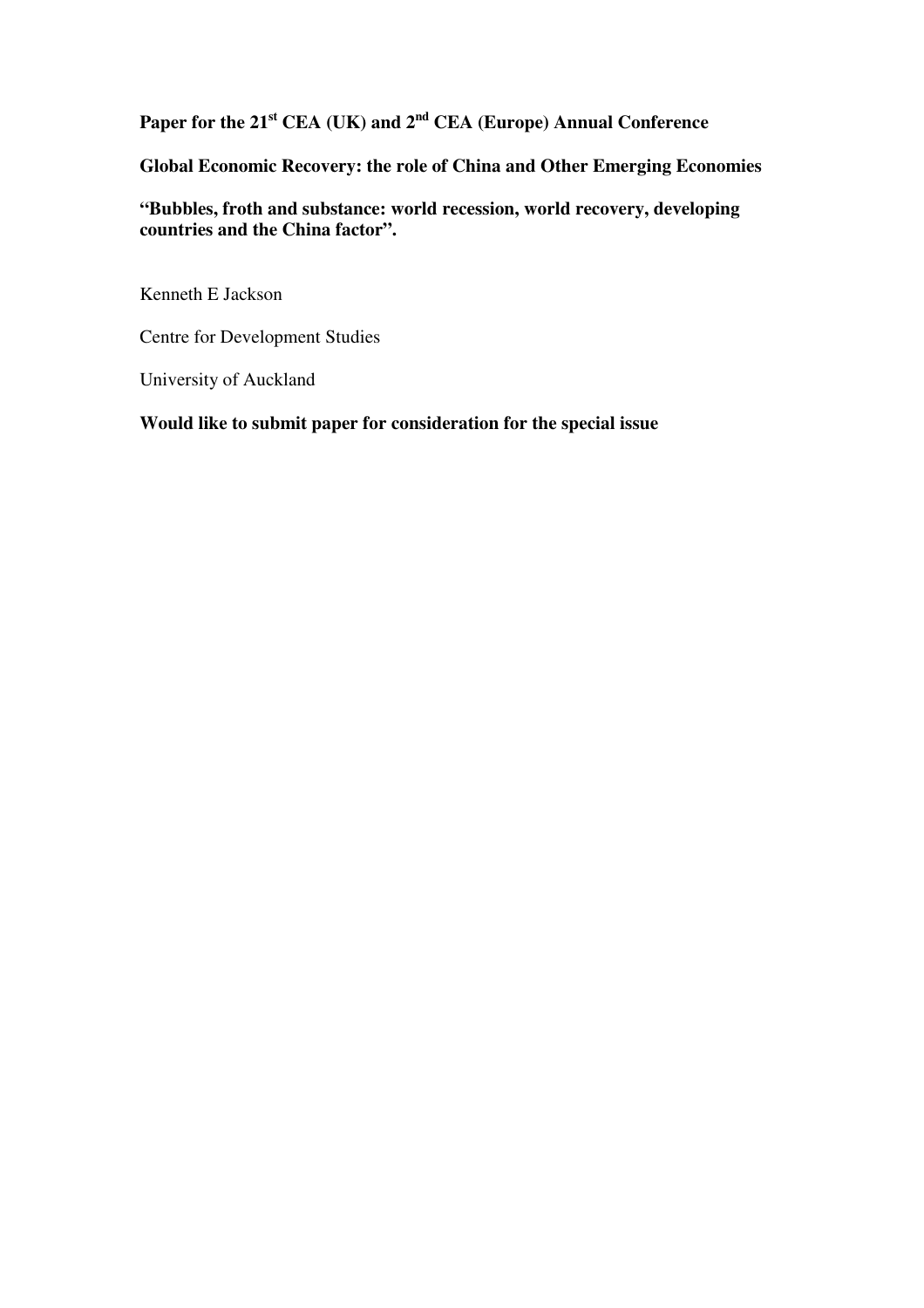**Paper for the 21st CEA (UK) and 2nd CEA (Europe) Annual Conference** 

**Global Economic Recovery: the role of China and Other Emerging Economies** 

**"Bubbles, froth and substance: world recession, world recovery, developing countries and the China factor".** 

Kenneth E Jackson

Centre for Development Studies

University of Auckland

**Would like to submit paper for consideration for the special issue**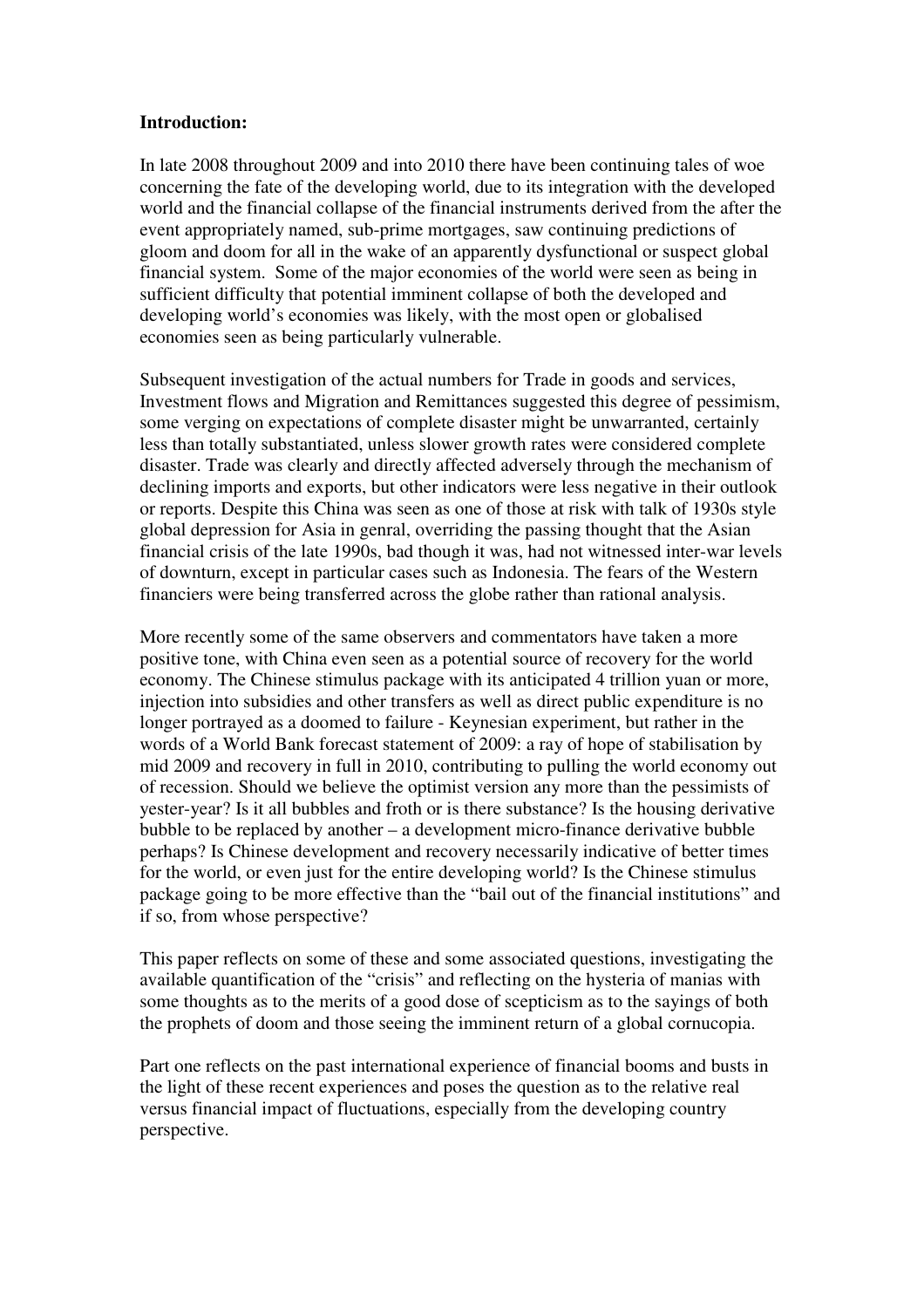# **Introduction:**

In late 2008 throughout 2009 and into 2010 there have been continuing tales of woe concerning the fate of the developing world, due to its integration with the developed world and the financial collapse of the financial instruments derived from the after the event appropriately named, sub-prime mortgages, saw continuing predictions of gloom and doom for all in the wake of an apparently dysfunctional or suspect global financial system. Some of the major economies of the world were seen as being in sufficient difficulty that potential imminent collapse of both the developed and developing world's economies was likely, with the most open or globalised economies seen as being particularly vulnerable.

Subsequent investigation of the actual numbers for Trade in goods and services, Investment flows and Migration and Remittances suggested this degree of pessimism, some verging on expectations of complete disaster might be unwarranted, certainly less than totally substantiated, unless slower growth rates were considered complete disaster. Trade was clearly and directly affected adversely through the mechanism of declining imports and exports, but other indicators were less negative in their outlook or reports. Despite this China was seen as one of those at risk with talk of 1930s style global depression for Asia in genral, overriding the passing thought that the Asian financial crisis of the late 1990s, bad though it was, had not witnessed inter-war levels of downturn, except in particular cases such as Indonesia. The fears of the Western financiers were being transferred across the globe rather than rational analysis.

More recently some of the same observers and commentators have taken a more positive tone, with China even seen as a potential source of recovery for the world economy. The Chinese stimulus package with its anticipated 4 trillion yuan or more, injection into subsidies and other transfers as well as direct public expenditure is no longer portrayed as a doomed to failure - Keynesian experiment, but rather in the words of a World Bank forecast statement of 2009: a ray of hope of stabilisation by mid 2009 and recovery in full in 2010, contributing to pulling the world economy out of recession. Should we believe the optimist version any more than the pessimists of yester-year? Is it all bubbles and froth or is there substance? Is the housing derivative bubble to be replaced by another – a development micro-finance derivative bubble perhaps? Is Chinese development and recovery necessarily indicative of better times for the world, or even just for the entire developing world? Is the Chinese stimulus package going to be more effective than the "bail out of the financial institutions" and if so, from whose perspective?

This paper reflects on some of these and some associated questions, investigating the available quantification of the "crisis" and reflecting on the hysteria of manias with some thoughts as to the merits of a good dose of scepticism as to the sayings of both the prophets of doom and those seeing the imminent return of a global cornucopia.

Part one reflects on the past international experience of financial booms and busts in the light of these recent experiences and poses the question as to the relative real versus financial impact of fluctuations, especially from the developing country perspective.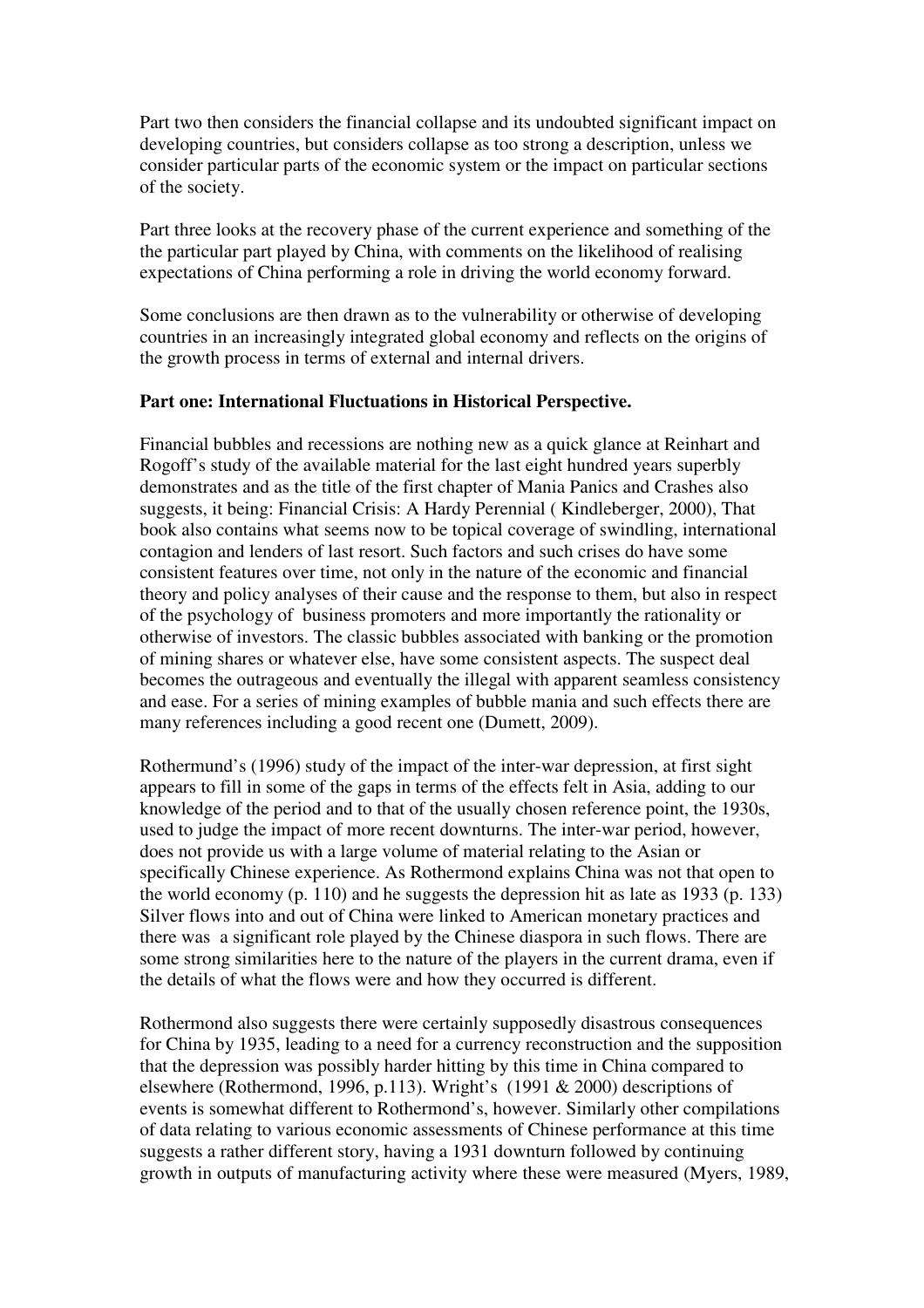Part two then considers the financial collapse and its undoubted significant impact on developing countries, but considers collapse as too strong a description, unless we consider particular parts of the economic system or the impact on particular sections of the society.

Part three looks at the recovery phase of the current experience and something of the the particular part played by China, with comments on the likelihood of realising expectations of China performing a role in driving the world economy forward.

Some conclusions are then drawn as to the vulnerability or otherwise of developing countries in an increasingly integrated global economy and reflects on the origins of the growth process in terms of external and internal drivers.

# **Part one: International Fluctuations in Historical Perspective.**

Financial bubbles and recessions are nothing new as a quick glance at Reinhart and Rogoff's study of the available material for the last eight hundred years superbly demonstrates and as the title of the first chapter of Mania Panics and Crashes also suggests, it being: Financial Crisis: A Hardy Perennial ( Kindleberger, 2000), That book also contains what seems now to be topical coverage of swindling, international contagion and lenders of last resort. Such factors and such crises do have some consistent features over time, not only in the nature of the economic and financial theory and policy analyses of their cause and the response to them, but also in respect of the psychology of business promoters and more importantly the rationality or otherwise of investors. The classic bubbles associated with banking or the promotion of mining shares or whatever else, have some consistent aspects. The suspect deal becomes the outrageous and eventually the illegal with apparent seamless consistency and ease. For a series of mining examples of bubble mania and such effects there are many references including a good recent one (Dumett, 2009).

Rothermund's (1996) study of the impact of the inter-war depression, at first sight appears to fill in some of the gaps in terms of the effects felt in Asia, adding to our knowledge of the period and to that of the usually chosen reference point, the 1930s, used to judge the impact of more recent downturns. The inter-war period, however, does not provide us with a large volume of material relating to the Asian or specifically Chinese experience. As Rothermond explains China was not that open to the world economy (p. 110) and he suggests the depression hit as late as 1933 (p. 133) Silver flows into and out of China were linked to American monetary practices and there was a significant role played by the Chinese diaspora in such flows. There are some strong similarities here to the nature of the players in the current drama, even if the details of what the flows were and how they occurred is different.

Rothermond also suggests there were certainly supposedly disastrous consequences for China by 1935, leading to a need for a currency reconstruction and the supposition that the depression was possibly harder hitting by this time in China compared to elsewhere (Rothermond, 1996, p.113). Wright's (1991 & 2000) descriptions of events is somewhat different to Rothermond's, however. Similarly other compilations of data relating to various economic assessments of Chinese performance at this time suggests a rather different story, having a 1931 downturn followed by continuing growth in outputs of manufacturing activity where these were measured (Myers, 1989,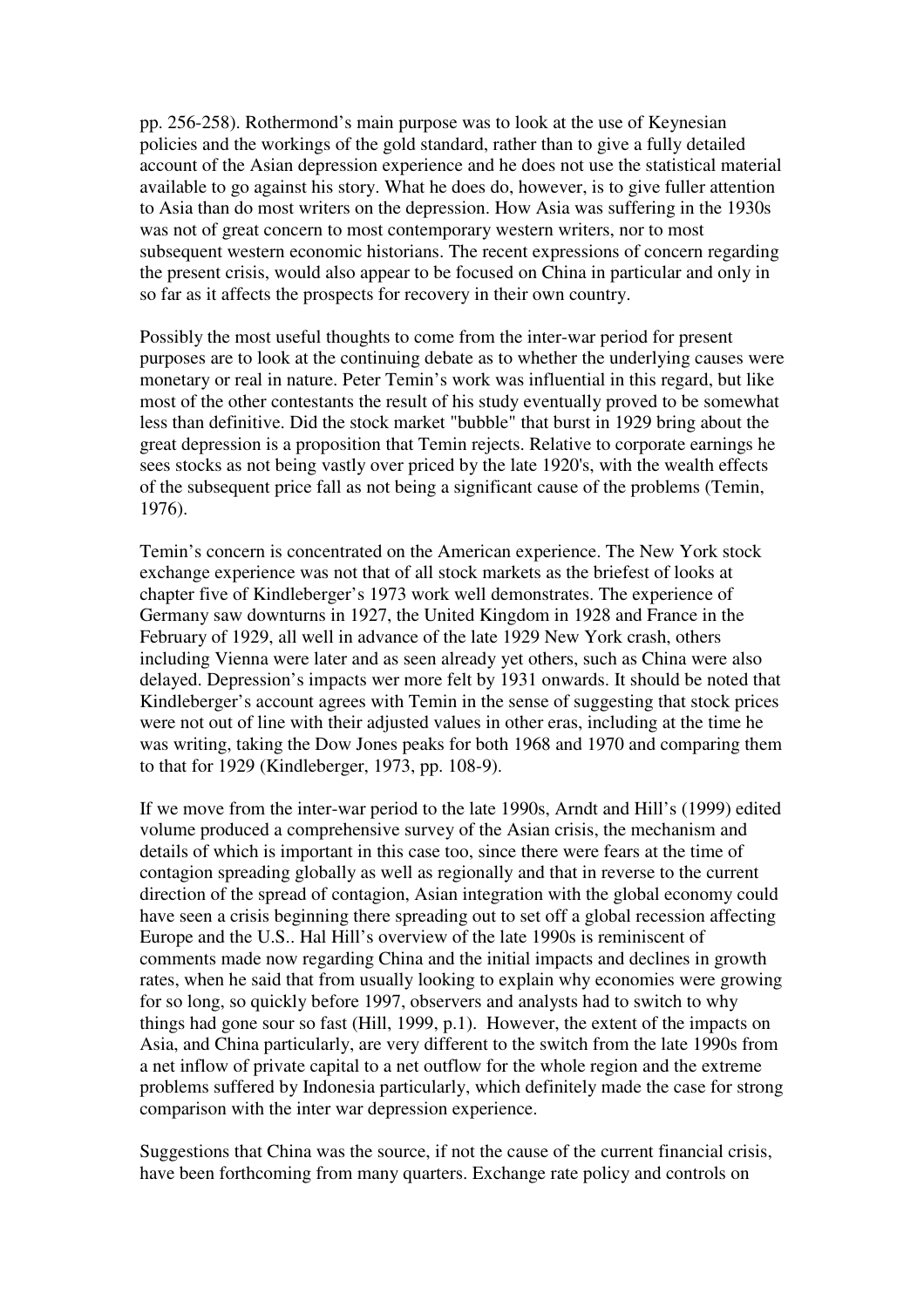pp. 256-258). Rothermond's main purpose was to look at the use of Keynesian policies and the workings of the gold standard, rather than to give a fully detailed account of the Asian depression experience and he does not use the statistical material available to go against his story. What he does do, however, is to give fuller attention to Asia than do most writers on the depression. How Asia was suffering in the 1930s was not of great concern to most contemporary western writers, nor to most subsequent western economic historians. The recent expressions of concern regarding the present crisis, would also appear to be focused on China in particular and only in so far as it affects the prospects for recovery in their own country.

Possibly the most useful thoughts to come from the inter-war period for present purposes are to look at the continuing debate as to whether the underlying causes were monetary or real in nature. Peter Temin's work was influential in this regard, but like most of the other contestants the result of his study eventually proved to be somewhat less than definitive. Did the stock market "bubble" that burst in 1929 bring about the great depression is a proposition that Temin rejects. Relative to corporate earnings he sees stocks as not being vastly over priced by the late 1920's, with the wealth effects of the subsequent price fall as not being a significant cause of the problems (Temin, 1976).

Temin's concern is concentrated on the American experience. The New York stock exchange experience was not that of all stock markets as the briefest of looks at chapter five of Kindleberger's 1973 work well demonstrates. The experience of Germany saw downturns in 1927, the United Kingdom in 1928 and France in the February of 1929, all well in advance of the late 1929 New York crash, others including Vienna were later and as seen already yet others, such as China were also delayed. Depression's impacts wer more felt by 1931 onwards. It should be noted that Kindleberger's account agrees with Temin in the sense of suggesting that stock prices were not out of line with their adjusted values in other eras, including at the time he was writing, taking the Dow Jones peaks for both 1968 and 1970 and comparing them to that for 1929 (Kindleberger, 1973, pp. 108-9).

If we move from the inter-war period to the late 1990s, Arndt and Hill's (1999) edited volume produced a comprehensive survey of the Asian crisis, the mechanism and details of which is important in this case too, since there were fears at the time of contagion spreading globally as well as regionally and that in reverse to the current direction of the spread of contagion, Asian integration with the global economy could have seen a crisis beginning there spreading out to set off a global recession affecting Europe and the U.S.. Hal Hill's overview of the late 1990s is reminiscent of comments made now regarding China and the initial impacts and declines in growth rates, when he said that from usually looking to explain why economies were growing for so long, so quickly before 1997, observers and analysts had to switch to why things had gone sour so fast (Hill, 1999, p.1). However, the extent of the impacts on Asia, and China particularly, are very different to the switch from the late 1990s from a net inflow of private capital to a net outflow for the whole region and the extreme problems suffered by Indonesia particularly, which definitely made the case for strong comparison with the inter war depression experience.

Suggestions that China was the source, if not the cause of the current financial crisis, have been forthcoming from many quarters. Exchange rate policy and controls on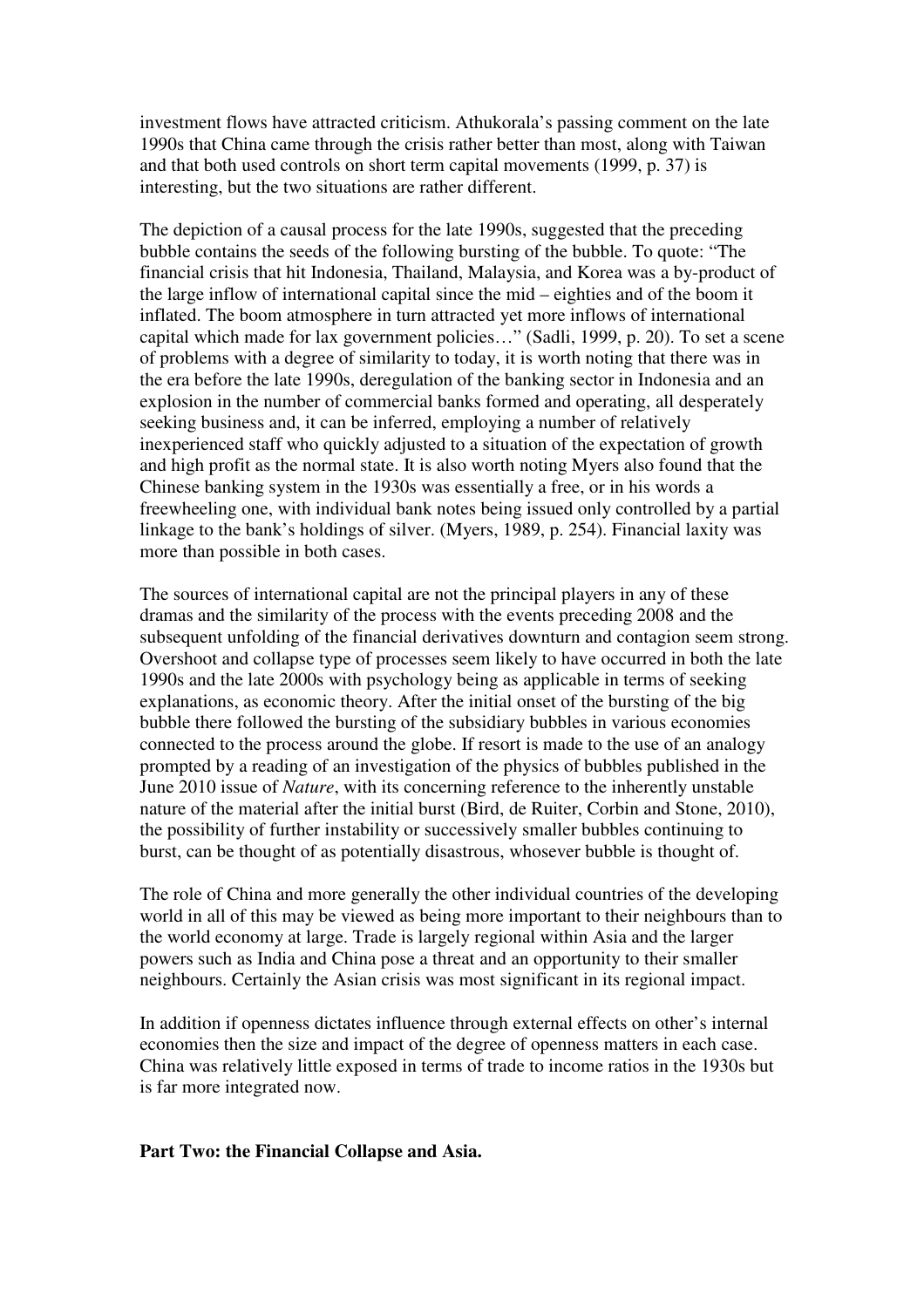investment flows have attracted criticism. Athukorala's passing comment on the late 1990s that China came through the crisis rather better than most, along with Taiwan and that both used controls on short term capital movements (1999, p. 37) is interesting, but the two situations are rather different.

The depiction of a causal process for the late 1990s, suggested that the preceding bubble contains the seeds of the following bursting of the bubble. To quote: "The financial crisis that hit Indonesia, Thailand, Malaysia, and Korea was a by-product of the large inflow of international capital since the mid – eighties and of the boom it inflated. The boom atmosphere in turn attracted yet more inflows of international capital which made for lax government policies…" (Sadli, 1999, p. 20). To set a scene of problems with a degree of similarity to today, it is worth noting that there was in the era before the late 1990s, deregulation of the banking sector in Indonesia and an explosion in the number of commercial banks formed and operating, all desperately seeking business and, it can be inferred, employing a number of relatively inexperienced staff who quickly adjusted to a situation of the expectation of growth and high profit as the normal state. It is also worth noting Myers also found that the Chinese banking system in the 1930s was essentially a free, or in his words a freewheeling one, with individual bank notes being issued only controlled by a partial linkage to the bank's holdings of silver. (Myers, 1989, p. 254). Financial laxity was more than possible in both cases.

The sources of international capital are not the principal players in any of these dramas and the similarity of the process with the events preceding 2008 and the subsequent unfolding of the financial derivatives downturn and contagion seem strong. Overshoot and collapse type of processes seem likely to have occurred in both the late 1990s and the late 2000s with psychology being as applicable in terms of seeking explanations, as economic theory. After the initial onset of the bursting of the big bubble there followed the bursting of the subsidiary bubbles in various economies connected to the process around the globe. If resort is made to the use of an analogy prompted by a reading of an investigation of the physics of bubbles published in the June 2010 issue of *Nature*, with its concerning reference to the inherently unstable nature of the material after the initial burst (Bird, de Ruiter, Corbin and Stone, 2010), the possibility of further instability or successively smaller bubbles continuing to burst, can be thought of as potentially disastrous, whosever bubble is thought of.

The role of China and more generally the other individual countries of the developing world in all of this may be viewed as being more important to their neighbours than to the world economy at large. Trade is largely regional within Asia and the larger powers such as India and China pose a threat and an opportunity to their smaller neighbours. Certainly the Asian crisis was most significant in its regional impact.

In addition if openness dictates influence through external effects on other's internal economies then the size and impact of the degree of openness matters in each case. China was relatively little exposed in terms of trade to income ratios in the 1930s but is far more integrated now.

# **Part Two: the Financial Collapse and Asia.**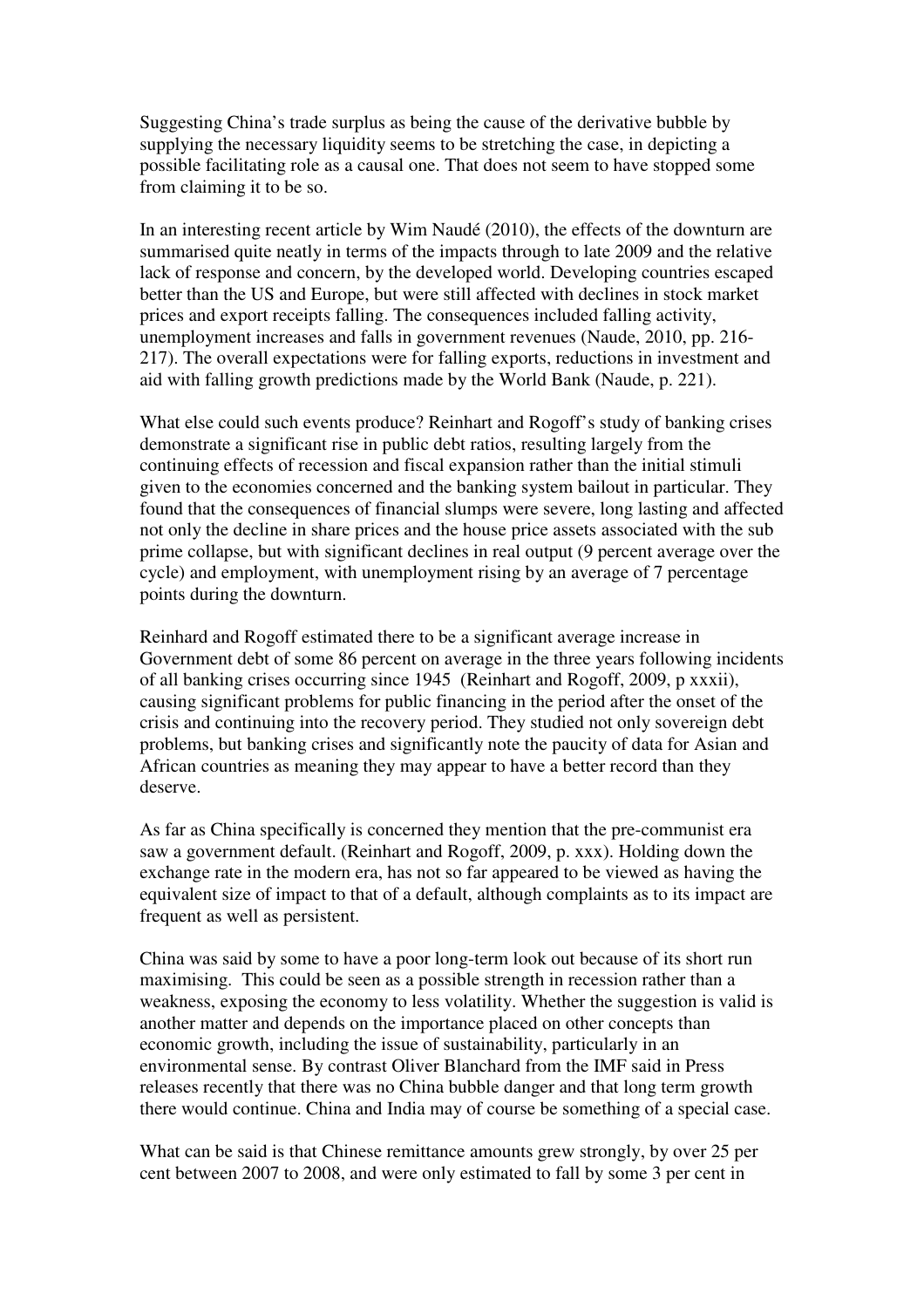Suggesting China's trade surplus as being the cause of the derivative bubble by supplying the necessary liquidity seems to be stretching the case, in depicting a possible facilitating role as a causal one. That does not seem to have stopped some from claiming it to be so.

In an interesting recent article by Wim Naudé (2010), the effects of the downturn are summarised quite neatly in terms of the impacts through to late 2009 and the relative lack of response and concern, by the developed world. Developing countries escaped better than the US and Europe, but were still affected with declines in stock market prices and export receipts falling. The consequences included falling activity, unemployment increases and falls in government revenues (Naude, 2010, pp. 216- 217). The overall expectations were for falling exports, reductions in investment and aid with falling growth predictions made by the World Bank (Naude, p. 221).

What else could such events produce? Reinhart and Rogoff's study of banking crises demonstrate a significant rise in public debt ratios, resulting largely from the continuing effects of recession and fiscal expansion rather than the initial stimuli given to the economies concerned and the banking system bailout in particular. They found that the consequences of financial slumps were severe, long lasting and affected not only the decline in share prices and the house price assets associated with the sub prime collapse, but with significant declines in real output (9 percent average over the cycle) and employment, with unemployment rising by an average of 7 percentage points during the downturn.

Reinhard and Rogoff estimated there to be a significant average increase in Government debt of some 86 percent on average in the three years following incidents of all banking crises occurring since 1945 (Reinhart and Rogoff, 2009, p xxxii), causing significant problems for public financing in the period after the onset of the crisis and continuing into the recovery period. They studied not only sovereign debt problems, but banking crises and significantly note the paucity of data for Asian and African countries as meaning they may appear to have a better record than they deserve.

As far as China specifically is concerned they mention that the pre-communist era saw a government default. (Reinhart and Rogoff, 2009, p. xxx). Holding down the exchange rate in the modern era, has not so far appeared to be viewed as having the equivalent size of impact to that of a default, although complaints as to its impact are frequent as well as persistent.

China was said by some to have a poor long-term look out because of its short run maximising. This could be seen as a possible strength in recession rather than a weakness, exposing the economy to less volatility. Whether the suggestion is valid is another matter and depends on the importance placed on other concepts than economic growth, including the issue of sustainability, particularly in an environmental sense. By contrast Oliver Blanchard from the IMF said in Press releases recently that there was no China bubble danger and that long term growth there would continue. China and India may of course be something of a special case.

What can be said is that Chinese remittance amounts grew strongly, by over 25 per cent between 2007 to 2008, and were only estimated to fall by some 3 per cent in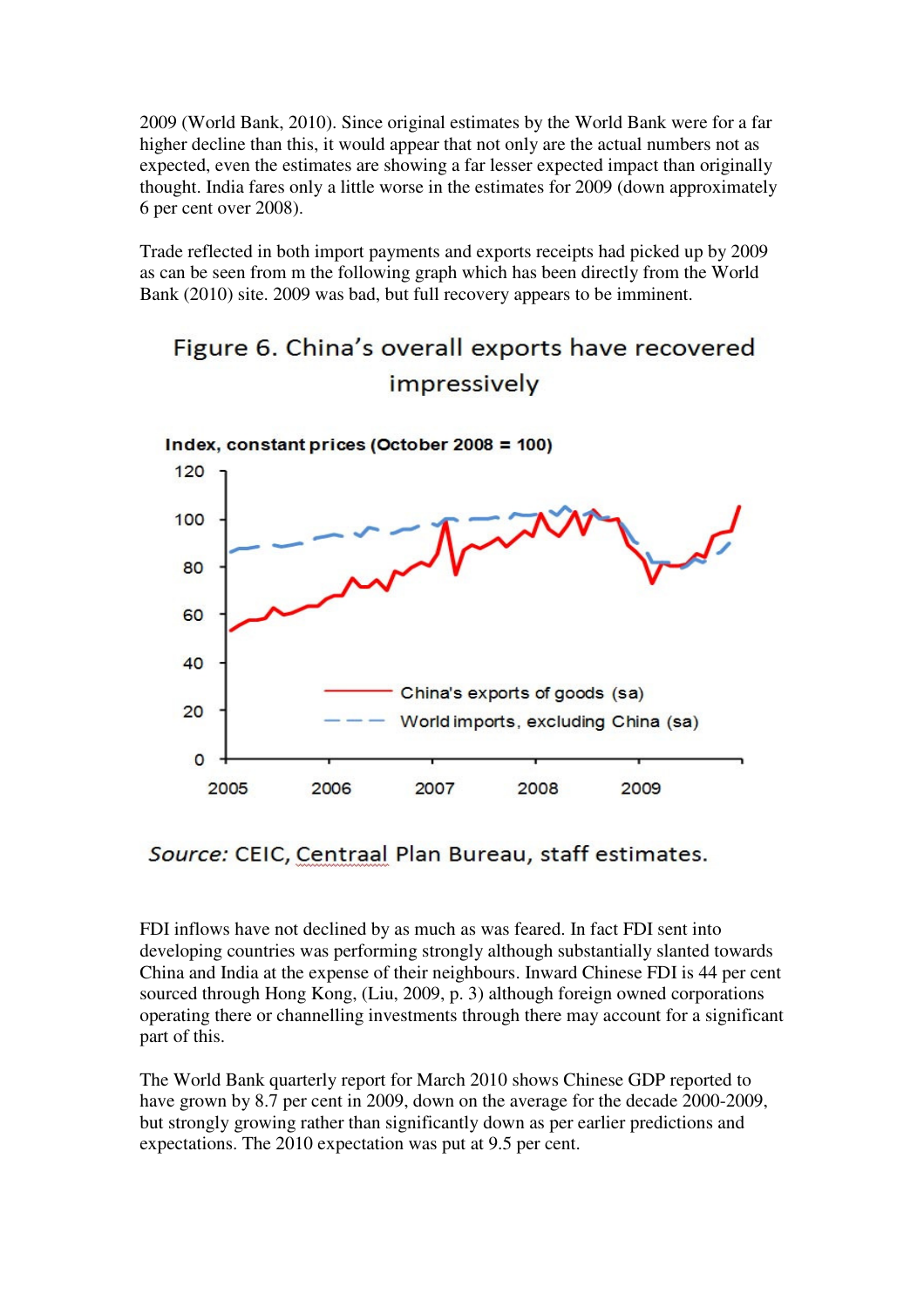2009 (World Bank, 2010). Since original estimates by the World Bank were for a far higher decline than this, it would appear that not only are the actual numbers not as expected, even the estimates are showing a far lesser expected impact than originally thought. India fares only a little worse in the estimates for 2009 (down approximately 6 per cent over 2008).

Trade reflected in both import payments and exports receipts had picked up by 2009 as can be seen from m the following graph which has been directly from the World Bank (2010) site. 2009 was bad, but full recovery appears to be imminent.

# Figure 6. China's overall exports have recovered impressively



# Source: CEIC, Centraal Plan Bureau, staff estimates.

FDI inflows have not declined by as much as was feared. In fact FDI sent into developing countries was performing strongly although substantially slanted towards China and India at the expense of their neighbours. Inward Chinese FDI is 44 per cent sourced through Hong Kong, (Liu, 2009, p. 3) although foreign owned corporations operating there or channelling investments through there may account for a significant part of this.

The World Bank quarterly report for March 2010 shows Chinese GDP reported to have grown by 8.7 per cent in 2009, down on the average for the decade 2000-2009, but strongly growing rather than significantly down as per earlier predictions and expectations. The 2010 expectation was put at 9.5 per cent.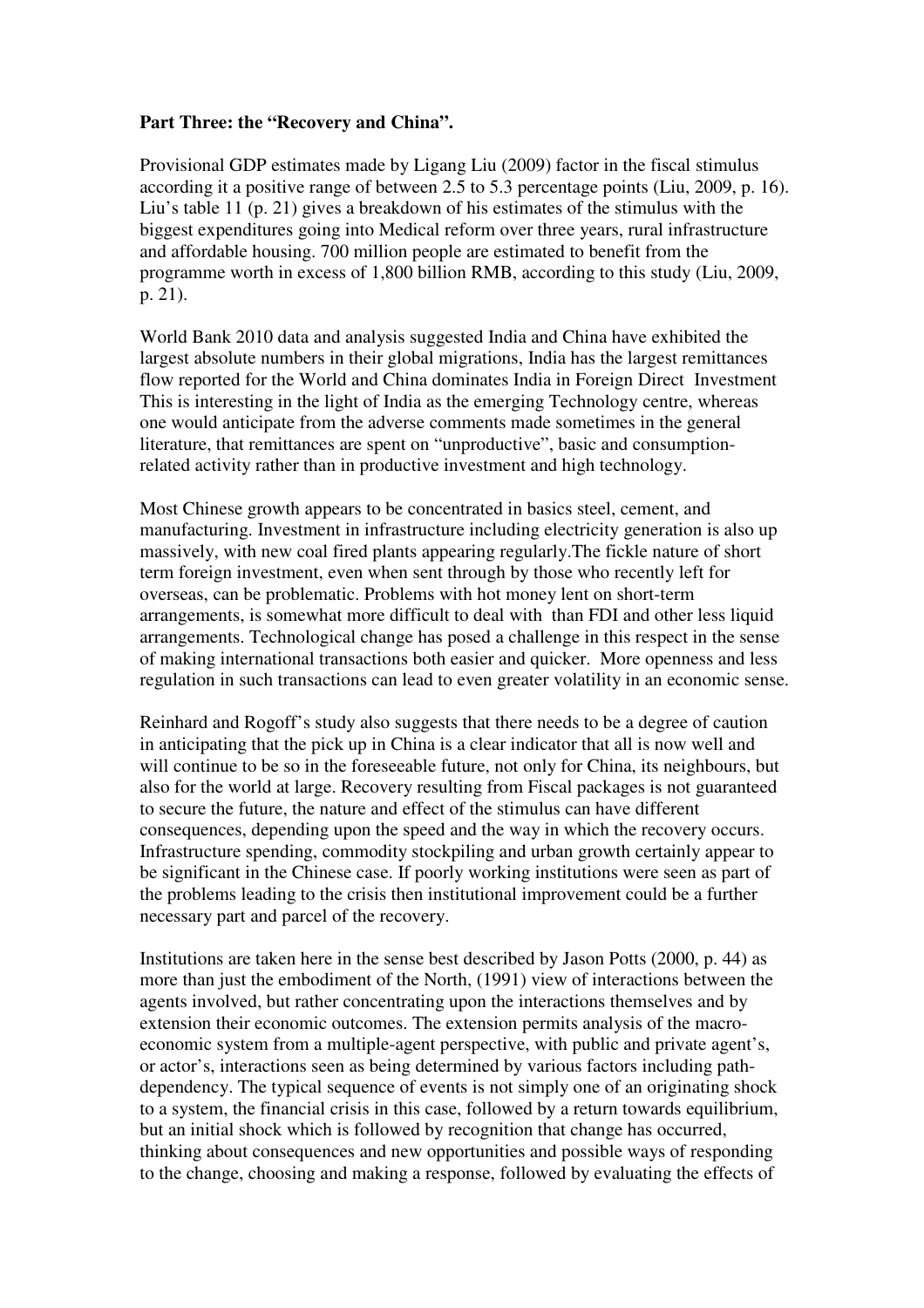# **Part Three: the "Recovery and China".**

Provisional GDP estimates made by Ligang Liu (2009) factor in the fiscal stimulus according it a positive range of between 2.5 to 5.3 percentage points (Liu, 2009, p. 16). Liu's table 11 (p. 21) gives a breakdown of his estimates of the stimulus with the biggest expenditures going into Medical reform over three years, rural infrastructure and affordable housing. 700 million people are estimated to benefit from the programme worth in excess of 1,800 billion RMB, according to this study (Liu, 2009, p. 21).

World Bank 2010 data and analysis suggested India and China have exhibited the largest absolute numbers in their global migrations, India has the largest remittances flow reported for the World and China dominates India in Foreign Direct Investment This is interesting in the light of India as the emerging Technology centre, whereas one would anticipate from the adverse comments made sometimes in the general literature, that remittances are spent on "unproductive", basic and consumptionrelated activity rather than in productive investment and high technology.

Most Chinese growth appears to be concentrated in basics steel, cement, and manufacturing. Investment in infrastructure including electricity generation is also up massively, with new coal fired plants appearing regularly.The fickle nature of short term foreign investment, even when sent through by those who recently left for overseas, can be problematic. Problems with hot money lent on short-term arrangements, is somewhat more difficult to deal with than FDI and other less liquid arrangements. Technological change has posed a challenge in this respect in the sense of making international transactions both easier and quicker. More openness and less regulation in such transactions can lead to even greater volatility in an economic sense.

Reinhard and Rogoff's study also suggests that there needs to be a degree of caution in anticipating that the pick up in China is a clear indicator that all is now well and will continue to be so in the foreseeable future, not only for China, its neighbours, but also for the world at large. Recovery resulting from Fiscal packages is not guaranteed to secure the future, the nature and effect of the stimulus can have different consequences, depending upon the speed and the way in which the recovery occurs. Infrastructure spending, commodity stockpiling and urban growth certainly appear to be significant in the Chinese case. If poorly working institutions were seen as part of the problems leading to the crisis then institutional improvement could be a further necessary part and parcel of the recovery.

Institutions are taken here in the sense best described by Jason Potts (2000, p. 44) as more than just the embodiment of the North, (1991) view of interactions between the agents involved, but rather concentrating upon the interactions themselves and by extension their economic outcomes. The extension permits analysis of the macroeconomic system from a multiple-agent perspective, with public and private agent's, or actor's, interactions seen as being determined by various factors including pathdependency. The typical sequence of events is not simply one of an originating shock to a system, the financial crisis in this case, followed by a return towards equilibrium, but an initial shock which is followed by recognition that change has occurred, thinking about consequences and new opportunities and possible ways of responding to the change, choosing and making a response, followed by evaluating the effects of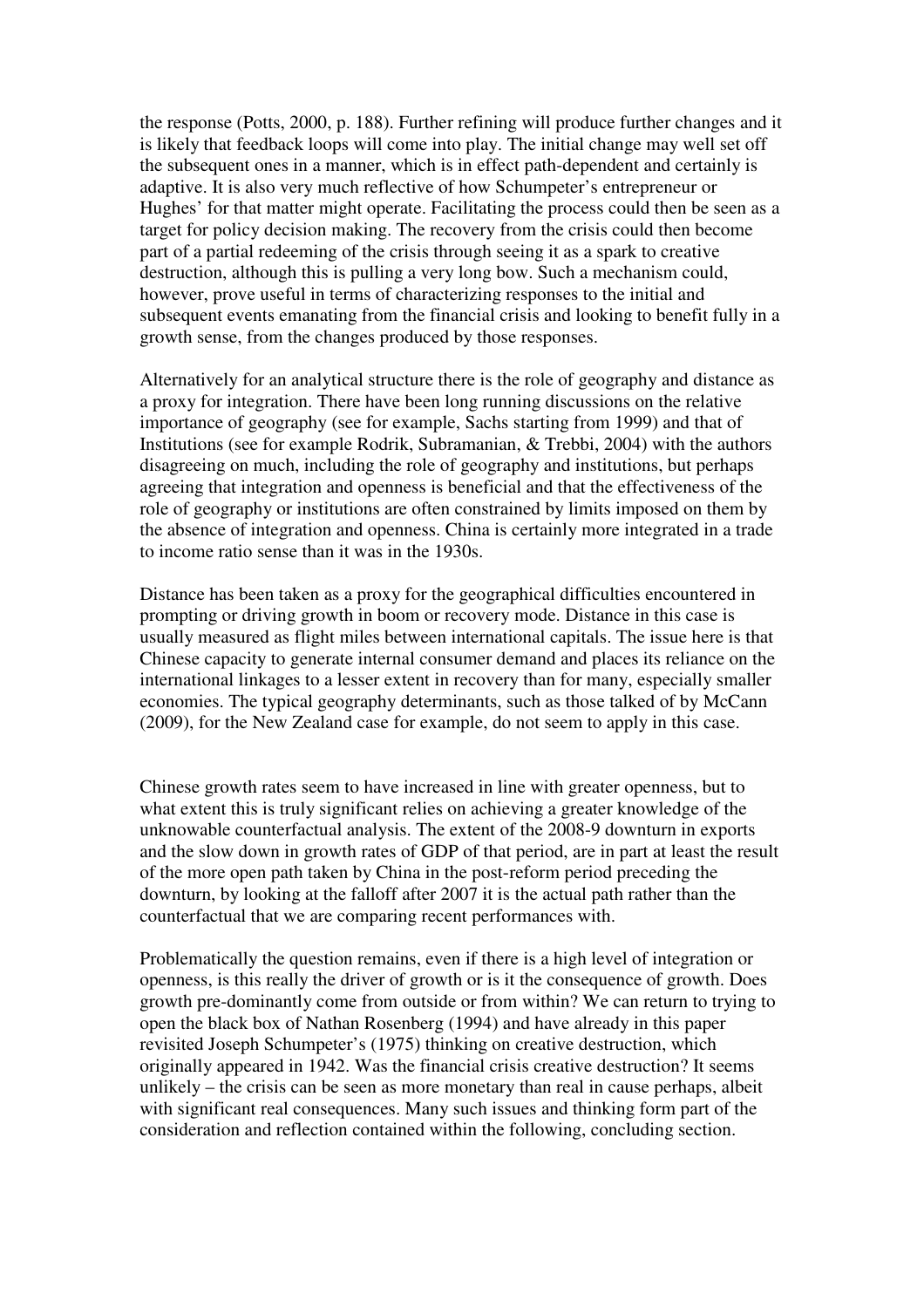the response (Potts, 2000, p. 188). Further refining will produce further changes and it is likely that feedback loops will come into play. The initial change may well set off the subsequent ones in a manner, which is in effect path-dependent and certainly is adaptive. It is also very much reflective of how Schumpeter's entrepreneur or Hughes' for that matter might operate. Facilitating the process could then be seen as a target for policy decision making. The recovery from the crisis could then become part of a partial redeeming of the crisis through seeing it as a spark to creative destruction, although this is pulling a very long bow. Such a mechanism could, however, prove useful in terms of characterizing responses to the initial and subsequent events emanating from the financial crisis and looking to benefit fully in a growth sense, from the changes produced by those responses.

Alternatively for an analytical structure there is the role of geography and distance as a proxy for integration. There have been long running discussions on the relative importance of geography (see for example, Sachs starting from 1999) and that of Institutions (see for example Rodrik, Subramanian, & Trebbi, 2004) with the authors disagreeing on much, including the role of geography and institutions, but perhaps agreeing that integration and openness is beneficial and that the effectiveness of the role of geography or institutions are often constrained by limits imposed on them by the absence of integration and openness. China is certainly more integrated in a trade to income ratio sense than it was in the 1930s.

Distance has been taken as a proxy for the geographical difficulties encountered in prompting or driving growth in boom or recovery mode. Distance in this case is usually measured as flight miles between international capitals. The issue here is that Chinese capacity to generate internal consumer demand and places its reliance on the international linkages to a lesser extent in recovery than for many, especially smaller economies. The typical geography determinants, such as those talked of by McCann (2009), for the New Zealand case for example, do not seem to apply in this case.

Chinese growth rates seem to have increased in line with greater openness, but to what extent this is truly significant relies on achieving a greater knowledge of the unknowable counterfactual analysis. The extent of the 2008-9 downturn in exports and the slow down in growth rates of GDP of that period, are in part at least the result of the more open path taken by China in the post-reform period preceding the downturn, by looking at the falloff after 2007 it is the actual path rather than the counterfactual that we are comparing recent performances with.

Problematically the question remains, even if there is a high level of integration or openness, is this really the driver of growth or is it the consequence of growth. Does growth pre-dominantly come from outside or from within? We can return to trying to open the black box of Nathan Rosenberg (1994) and have already in this paper revisited Joseph Schumpeter's (1975) thinking on creative destruction, which originally appeared in 1942. Was the financial crisis creative destruction? It seems unlikely – the crisis can be seen as more monetary than real in cause perhaps, albeit with significant real consequences. Many such issues and thinking form part of the consideration and reflection contained within the following, concluding section.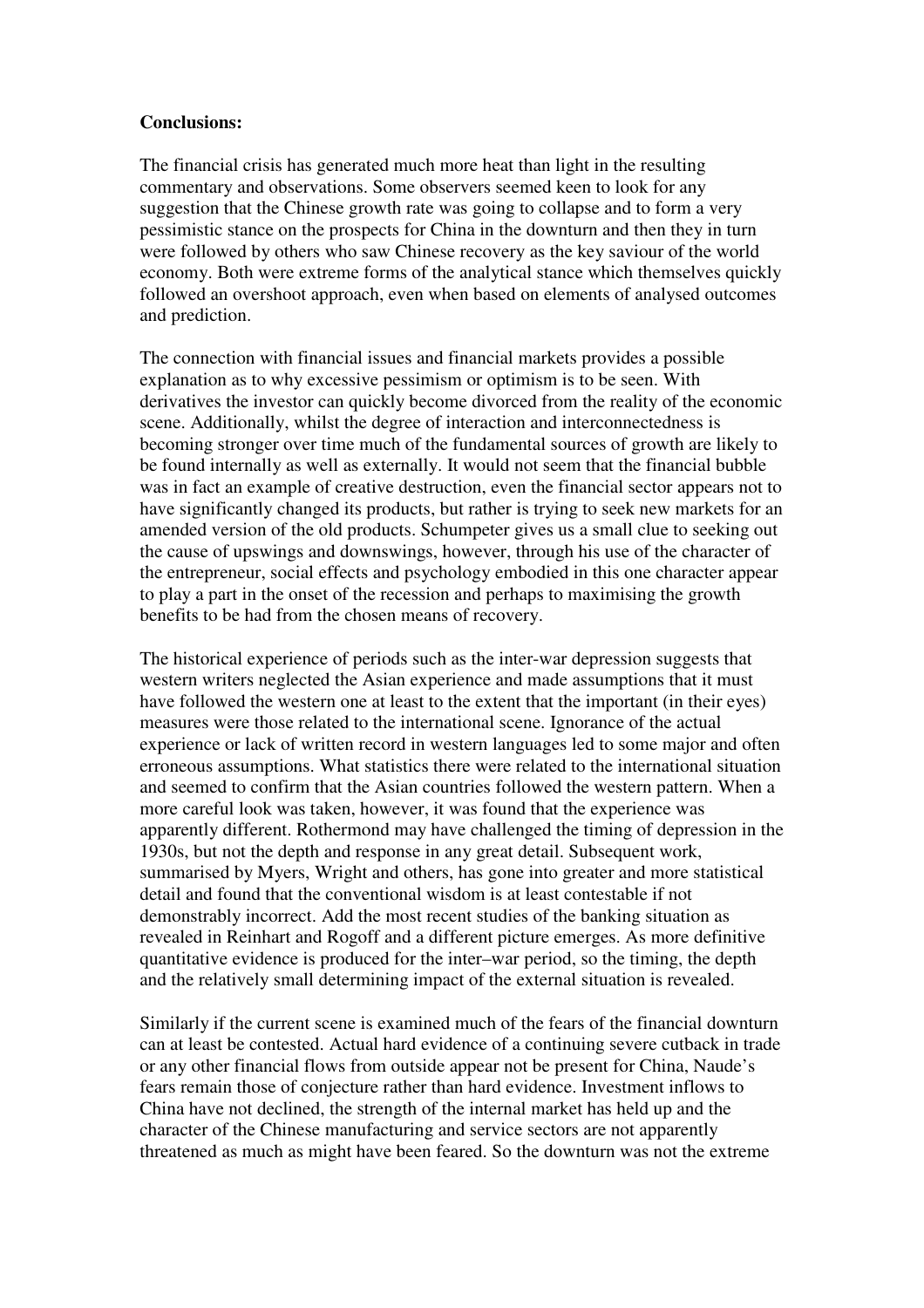# **Conclusions:**

The financial crisis has generated much more heat than light in the resulting commentary and observations. Some observers seemed keen to look for any suggestion that the Chinese growth rate was going to collapse and to form a very pessimistic stance on the prospects for China in the downturn and then they in turn were followed by others who saw Chinese recovery as the key saviour of the world economy. Both were extreme forms of the analytical stance which themselves quickly followed an overshoot approach, even when based on elements of analysed outcomes and prediction.

The connection with financial issues and financial markets provides a possible explanation as to why excessive pessimism or optimism is to be seen. With derivatives the investor can quickly become divorced from the reality of the economic scene. Additionally, whilst the degree of interaction and interconnectedness is becoming stronger over time much of the fundamental sources of growth are likely to be found internally as well as externally. It would not seem that the financial bubble was in fact an example of creative destruction, even the financial sector appears not to have significantly changed its products, but rather is trying to seek new markets for an amended version of the old products. Schumpeter gives us a small clue to seeking out the cause of upswings and downswings, however, through his use of the character of the entrepreneur, social effects and psychology embodied in this one character appear to play a part in the onset of the recession and perhaps to maximising the growth benefits to be had from the chosen means of recovery.

The historical experience of periods such as the inter-war depression suggests that western writers neglected the Asian experience and made assumptions that it must have followed the western one at least to the extent that the important (in their eyes) measures were those related to the international scene. Ignorance of the actual experience or lack of written record in western languages led to some major and often erroneous assumptions. What statistics there were related to the international situation and seemed to confirm that the Asian countries followed the western pattern. When a more careful look was taken, however, it was found that the experience was apparently different. Rothermond may have challenged the timing of depression in the 1930s, but not the depth and response in any great detail. Subsequent work, summarised by Myers, Wright and others, has gone into greater and more statistical detail and found that the conventional wisdom is at least contestable if not demonstrably incorrect. Add the most recent studies of the banking situation as revealed in Reinhart and Rogoff and a different picture emerges. As more definitive quantitative evidence is produced for the inter–war period, so the timing, the depth and the relatively small determining impact of the external situation is revealed.

Similarly if the current scene is examined much of the fears of the financial downturn can at least be contested. Actual hard evidence of a continuing severe cutback in trade or any other financial flows from outside appear not be present for China, Naude's fears remain those of conjecture rather than hard evidence. Investment inflows to China have not declined, the strength of the internal market has held up and the character of the Chinese manufacturing and service sectors are not apparently threatened as much as might have been feared. So the downturn was not the extreme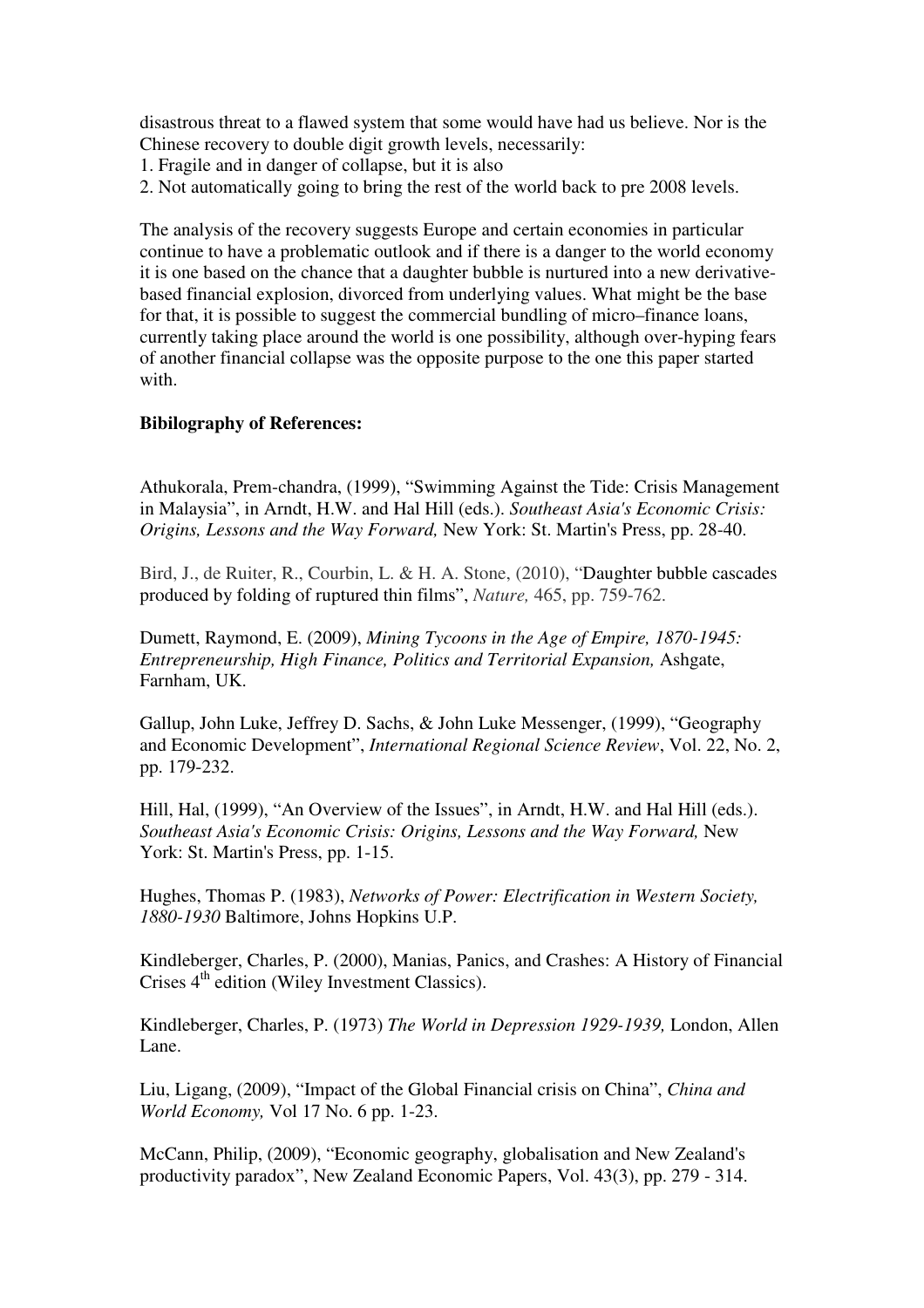disastrous threat to a flawed system that some would have had us believe. Nor is the Chinese recovery to double digit growth levels, necessarily:

- 1. Fragile and in danger of collapse, but it is also
- 2. Not automatically going to bring the rest of the world back to pre 2008 levels.

The analysis of the recovery suggests Europe and certain economies in particular continue to have a problematic outlook and if there is a danger to the world economy it is one based on the chance that a daughter bubble is nurtured into a new derivativebased financial explosion, divorced from underlying values. What might be the base for that, it is possible to suggest the commercial bundling of micro–finance loans, currently taking place around the world is one possibility, although over-hyping fears of another financial collapse was the opposite purpose to the one this paper started with.

# **Bibilography of References:**

Athukorala, Prem-chandra, (1999), "Swimming Against the Tide: Crisis Management in Malaysia", in Arndt, H.W. and Hal Hill (eds.). *Southeast Asia's Economic Crisis: Origins, Lessons and the Way Forward,* New York: St. Martin's Press, pp. 28-40.

Bird, J., de Ruiter, R., Courbin, L. & H. A. Stone, (2010), "Daughter bubble cascades produced by folding of ruptured thin films", *Nature,* 465, pp. 759-762.

Dumett, Raymond, E. (2009), *Mining Tycoons in the Age of Empire, 1870-1945: Entrepreneurship, High Finance, Politics and Territorial Expansion,* Ashgate, Farnham, UK.

Gallup, John Luke, Jeffrey D. Sachs, & John Luke Messenger, (1999), "Geography and Economic Development", *International Regional Science Review*, Vol. 22, No. 2, pp. 179-232.

Hill, Hal, (1999), "An Overview of the Issues", in Arndt, H.W. and Hal Hill (eds.). *Southeast Asia's Economic Crisis: Origins, Lessons and the Way Forward,* New York: St. Martin's Press, pp. 1-15.

Hughes, Thomas P. (1983), *Networks of Power: Electrification in Western Society, 1880-1930* Baltimore, Johns Hopkins U.P.

Kindleberger, Charles, P. (2000), Manias, Panics, and Crashes: A History of Financial Crises  $4<sup>th</sup>$  edition (Wiley Investment Classics).

Kindleberger, Charles, P. (1973) *The World in Depression 1929-1939,* London, Allen Lane.

Liu, Ligang, (2009), "Impact of the Global Financial crisis on China", *China and World Economy,* Vol 17 No. 6 pp. 1-23.

McCann, Philip, (2009), "Economic geography, globalisation and New Zealand's productivity paradox", New Zealand Economic Papers, Vol. 43(3), pp. 279 - 314.